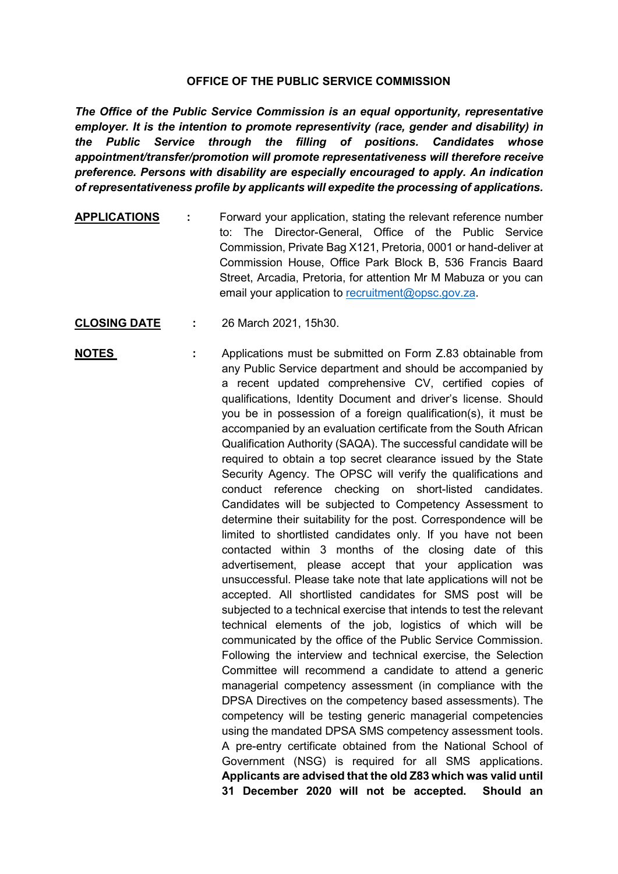## **OFFICE OF THE PUBLIC SERVICE COMMISSION**

*The Office of the Public Service Commission is an equal opportunity, representative employer. It is the intention to promote representivity (race, gender and disability) in the Public Service through the filling of positions. Candidates whose appointment/transfer/promotion will promote representativeness will therefore receive preference. Persons with disability are especially encouraged to apply. An indication of representativeness profile by applicants will expedite the processing of applications.*

- **APPLICATIONS :** Forward your application, stating the relevant reference number to: The Director-General, Office of the Public Service Commission, Private Bag X121, Pretoria, 0001 or hand-deliver at Commission House, Office Park Block B, 536 Francis Baard Street, Arcadia, Pretoria, for attention Mr M Mabuza or you can email your application to [recruitment@opsc.gov.za.](mailto:recruitment@opsc.gov.za)
- **CLOSING DATE :** 26 March 2021, 15h30.
- **NOTES** : Applications must be submitted on Form Z.83 obtainable from any Public Service department and should be accompanied by a recent updated comprehensive CV, certified copies of qualifications, Identity Document and driver's license. Should you be in possession of a foreign qualification(s), it must be accompanied by an evaluation certificate from the South African Qualification Authority (SAQA). The successful candidate will be required to obtain a top secret clearance issued by the State Security Agency. The OPSC will verify the qualifications and conduct reference checking on short-listed candidates. Candidates will be subjected to Competency Assessment to determine their suitability for the post. Correspondence will be limited to shortlisted candidates only. If you have not been contacted within 3 months of the closing date of this advertisement, please accept that your application was unsuccessful. Please take note that late applications will not be accepted. All shortlisted candidates for SMS post will be subjected to a technical exercise that intends to test the relevant technical elements of the job, logistics of which will be communicated by the office of the Public Service Commission. Following the interview and technical exercise, the Selection Committee will recommend a candidate to attend a generic managerial competency assessment (in compliance with the DPSA Directives on the competency based assessments). The competency will be testing generic managerial competencies using the mandated DPSA SMS competency assessment tools. A pre-entry certificate obtained from the National School of Government (NSG) is required for all SMS applications. **Applicants are advised that the old Z83 which was valid until 31 December 2020 will not be accepted. Should an**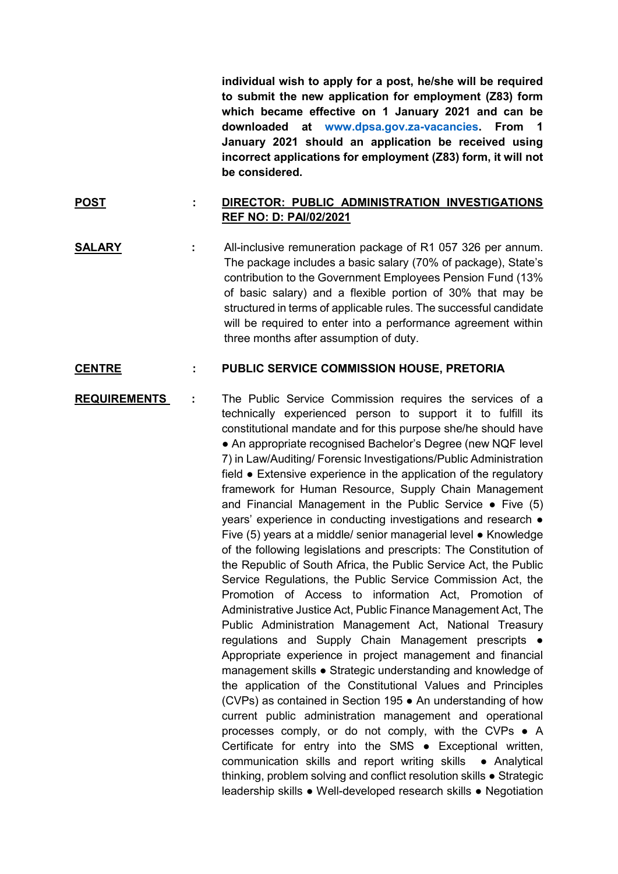**individual wish to apply for a post, he/she will be required to submit the new application for employment (Z83) form which became effective on 1 January 2021 and can be downloaded at [www.dpsa.gov.za-vacancies.](http://www.dpsa.gov.za-vacancies/) From 1 January 2021 should an application be received using incorrect applications for employment (Z83) form, it will not be considered.**

## **POST : DIRECTOR: PUBLIC ADMINISTRATION INVESTIGATIONS REF NO: D: PAI/02/2021**

**SALARY :** All-inclusive remuneration package of R1 057 326 per annum. The package includes a basic salary (70% of package), State's contribution to the Government Employees Pension Fund (13% of basic salary) and a flexible portion of 30% that may be structured in terms of applicable rules. The successful candidate will be required to enter into a performance agreement within three months after assumption of duty.

## **CENTRE : PUBLIC SERVICE COMMISSION HOUSE, PRETORIA**

**REQUIREMENTS :** The Public Service Commission requires the services of a technically experienced person to support it to fulfill its constitutional mandate and for this purpose she/he should have • An appropriate recognised Bachelor's Degree (new NQF level 7) in Law/Auditing/ Forensic Investigations/Public Administration field ● Extensive experience in the application of the regulatory framework for Human Resource, Supply Chain Management and Financial Management in the Public Service  $\bullet$  Five (5) years' experience in conducting investigations and research ● Five (5) years at a middle/ senior managerial level ● Knowledge of the following legislations and prescripts: The Constitution of the Republic of South Africa, the Public Service Act, the Public Service Regulations, the Public Service Commission Act, the Promotion of Access to information Act, Promotion of Administrative Justice Act, Public Finance Management Act, The Public Administration Management Act, National Treasury regulations and Supply Chain Management prescripts ● Appropriate experience in project management and financial management skills ● Strategic understanding and knowledge of the application of the Constitutional Values and Principles (CVPs) as contained in Section 195 ● An understanding of how current public administration management and operational processes comply, or do not comply, with the CVPs ● A Certificate for entry into the SMS ● Exceptional written, communication skills and report writing skills ● Analytical thinking, problem solving and conflict resolution skills ● Strategic leadership skills ● Well-developed research skills ● Negotiation